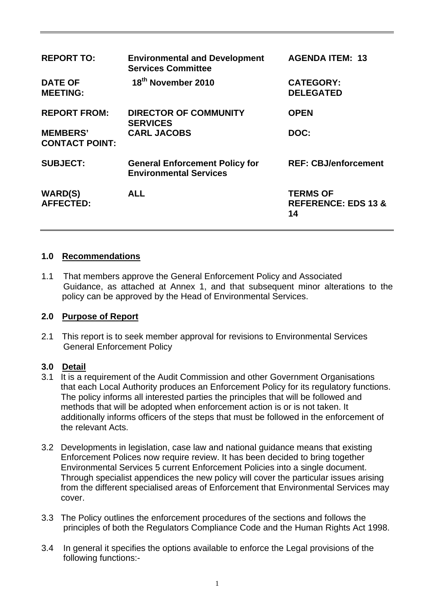| <b>REPORT TO:</b>                        | <b>Environmental and Development</b><br><b>Services Committee</b>      | <b>AGENDA ITEM: 13</b>                                  |
|------------------------------------------|------------------------------------------------------------------------|---------------------------------------------------------|
| <b>DATE OF</b><br><b>MEETING:</b>        | 18 <sup>th</sup> November 2010                                         | <b>CATEGORY:</b><br><b>DELEGATED</b>                    |
| <b>REPORT FROM:</b>                      | <b>DIRECTOR OF COMMUNITY</b><br><b>SERVICES</b>                        | <b>OPEN</b>                                             |
| <b>MEMBERS'</b><br><b>CONTACT POINT:</b> | <b>CARL JACOBS</b>                                                     | DOC:                                                    |
| <b>SUBJECT:</b>                          | <b>General Enforcement Policy for</b><br><b>Environmental Services</b> | <b>REF: CBJ/enforcement</b>                             |
| <b>WARD(S)</b><br><b>AFFECTED:</b>       | <b>ALL</b>                                                             | <b>TERMS OF</b><br><b>REFERENCE: EDS 13 &amp;</b><br>14 |

## **1.0 Recommendations**

1.1 That members approve the General Enforcement Policy and Associated Guidance, as attached at Annex 1, and that subsequent minor alterations to the policy can be approved by the Head of Environmental Services.

## **2.0 Purpose of Report**

2.1 This report is to seek member approval for revisions to Environmental Services General Enforcement Policy

## **3.0 Detail**

- 3.1 It is a requirement of the Audit Commission and other Government Organisations that each Local Authority produces an Enforcement Policy for its regulatory functions. The policy informs all interested parties the principles that will be followed and methods that will be adopted when enforcement action is or is not taken. It additionally informs officers of the steps that must be followed in the enforcement of the relevant Acts.
- 3.2 Developments in legislation, case law and national guidance means that existing Enforcement Polices now require review. It has been decided to bring together Environmental Services 5 current Enforcement Policies into a single document. Through specialist appendices the new policy will cover the particular issues arising from the different specialised areas of Enforcement that Environmental Services may cover.
- 3.3 The Policy outlines the enforcement procedures of the sections and follows the principles of both the Regulators Compliance Code and the Human Rights Act 1998.
- 3.4 In general it specifies the options available to enforce the Legal provisions of the following functions:-